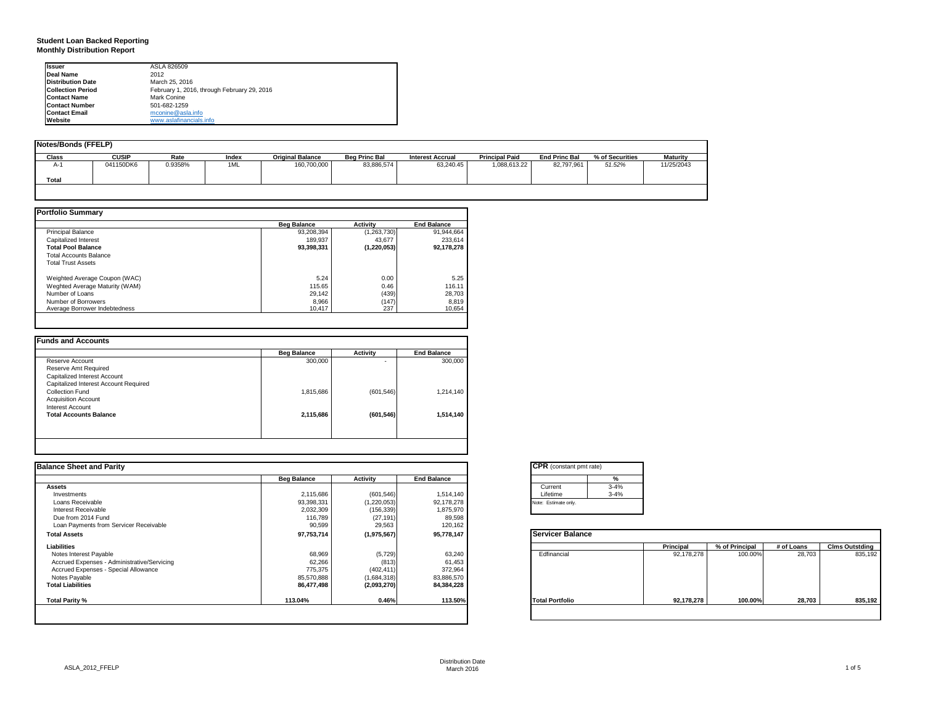## **Student Loan Backed Reporting Monthly Distribution Report**

| Issuer                   | ASLA 826509                                 |
|--------------------------|---------------------------------------------|
| Deal Name                | 2012                                        |
| <b>Distribution Date</b> | March 25, 2016                              |
| <b>Collection Period</b> | February 1, 2016, through February 29, 2016 |
| <b>Contact Name</b>      | Mark Conine                                 |
| <b>Contact Number</b>    | 501-682-1259                                |
| <b>Contact Email</b>     | mconine@asla.info                           |
| Website                  | www.aslafinancials.info                     |

| Notes/Bonds (FFELP) |              |         |       |                         |                      |                         |                       |                      |                 |                 |
|---------------------|--------------|---------|-------|-------------------------|----------------------|-------------------------|-----------------------|----------------------|-----------------|-----------------|
| Class               | <b>CUSIP</b> | Rate    | Index | <b>Original Balance</b> | <b>Beg Princ Bal</b> | <b>Interest Accrual</b> | <b>Principal Paid</b> | <b>End Princ Bal</b> | % of Securities | <b>Maturity</b> |
| A-'                 | 041150DK6    | 0.9358% | 1ML   | 160,700,000             | 83,886,574           | 63.240.45               | 1,088,613.22          | 82,797,961           | 51.52%          | 11/25/2043      |
| <b>Total</b>        |              |         |       |                         |                      |                         |                       |                      |                 |                 |

|                                | <b>Beg Balance</b> | <b>Activity</b> | <b>End Balance</b> |
|--------------------------------|--------------------|-----------------|--------------------|
| <b>Principal Balance</b>       | 93.208.394         | (1,263,730)     | 91,944,664         |
| Capitalized Interest           | 189.937            | 43.677          | 233.614            |
| <b>Total Pool Balance</b>      | 93,398,331         | (1, 220, 053)   | 92.178.278         |
| <b>Total Accounts Balance</b>  |                    |                 |                    |
| <b>Total Trust Assets</b>      |                    |                 |                    |
| Weighted Average Coupon (WAC)  | 5.24               | 0.00            | 5.25               |
| Weghted Average Maturity (WAM) | 115.65             | 0.46            | 116.11             |
| Number of Loans                | 29,142             | (439)           | 28,703             |
| Number of Borrowers            | 8,966              | (147)           | 8,819              |
| Average Borrower Indebtedness  | 10,417             | 237             | 10,654             |

|                                       | <b>Beg Balance</b> | <b>Activity</b> | <b>End Balance</b> |
|---------------------------------------|--------------------|-----------------|--------------------|
| Reserve Account                       | 300,000            | ۰               | 300,000            |
| Reserve Amt Required                  |                    |                 |                    |
| Capitalized Interest Account          |                    |                 |                    |
| Capitalized Interest Account Required |                    |                 |                    |
| Collection Fund                       | 1,815,686          | (601, 546)      | 1,214,140          |
| <b>Acquisition Account</b>            |                    |                 |                    |
| Interest Account                      |                    |                 |                    |
| <b>Total Accounts Balance</b>         | 2,115,686          | (601, 546)      | 1,514,140          |
|                                       |                    |                 |                    |
|                                       |                    |                 |                    |

| <b>Balance Sheet and Parity</b>             |                    |             |                    | <b>CPR</b> (constant pmt rate) |            |                |            |                       |
|---------------------------------------------|--------------------|-------------|--------------------|--------------------------------|------------|----------------|------------|-----------------------|
|                                             | <b>Beg Balance</b> | Activity    | <b>End Balance</b> |                                |            |                |            |                       |
| <b>Assets</b>                               |                    |             |                    | $3 - 4%$<br>Current            |            |                |            |                       |
| Investments                                 | 2,115,686          | (601, 546)  | 1,514,140          | $3 - 4%$<br>Lifetime           |            |                |            |                       |
| Loans Receivable                            | 93,398,331         | (1,220,053) | 92,178,278         | Note: Estimate only.           |            |                |            |                       |
| Interest Receivable                         | 2,032,309          | (156, 339)  | 1,875,970          |                                |            |                |            |                       |
| Due from 2014 Fund                          | 116,789            | (27, 191)   | 89,598             |                                |            |                |            |                       |
| Loan Payments from Servicer Receivable      | 90,599             | 29,563      | 120,162            |                                |            |                |            |                       |
| <b>Total Assets</b>                         | 97,753,714         | (1,975,567) | 95,778,147         | <b>Servicer Balance</b>        |            |                |            |                       |
| Liabilities                                 |                    |             |                    |                                | Principal  | % of Principal | # of Loans | <b>Clms Outstding</b> |
| Notes Interest Payable                      | 68,969             | (5,729)     | 63,240             | Edfinancial                    | 92,178,278 | 100.00%        | 28,703     | 835,192               |
| Accrued Expenses - Administrative/Servicing | 62,266             | (813)       | 61,453             |                                |            |                |            |                       |
| Accrued Expenses - Special Allowance        | 775,375            | (402, 411)  | 372,964            |                                |            |                |            |                       |
| Notes Payable                               | 85,570,888         | (1,684,318) | 83,886,570         |                                |            |                |            |                       |
| <b>Total Liabilities</b>                    | 86,477,498         | (2,093,270) | 84,384,228         |                                |            |                |            |                       |
| Total Parity %                              | 113.04%            | 0.46%       | 113.50%            | <b>Total Portfolio</b>         | 92,178,278 | 100.00%        | 28,703     | 835,192               |

| Current  | $3 - 4%$ |
|----------|----------|
| Lifetime | $3 - 4%$ |

|                        | Principal  | % of Principal | # of Loans | <b>Clms Outstding</b> |
|------------------------|------------|----------------|------------|-----------------------|
| Edfinancial            | 92,178,278 | 100.00%        | 28,703     | 835,192               |
| <b>Total Portfolio</b> | 92,178,278 | 100.00%        | 28.703     | 835,192               |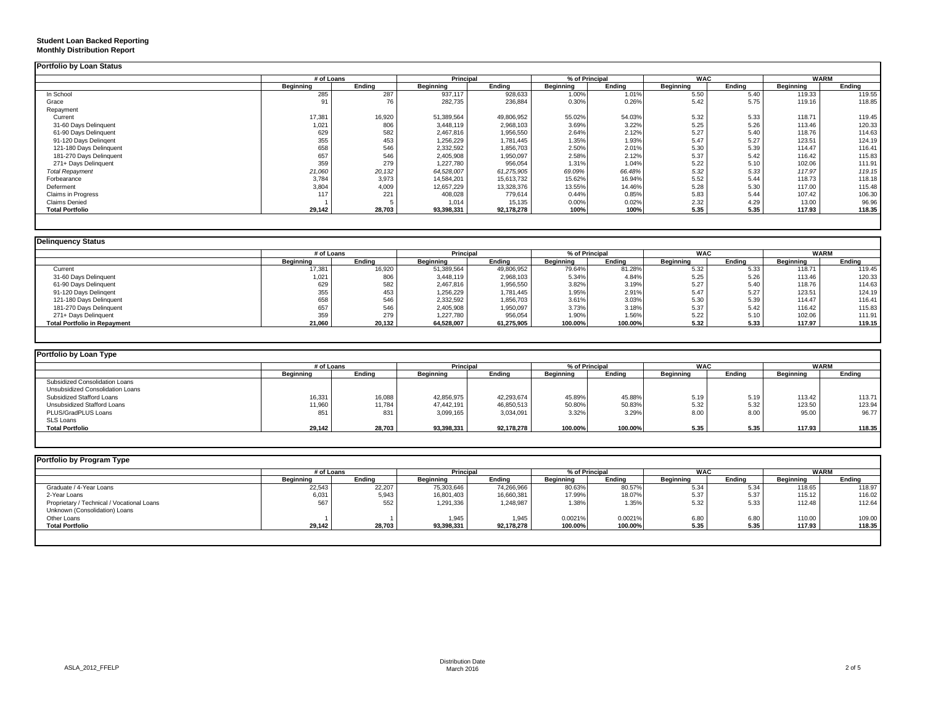|                           |                  | # of Loans |                  | Principal  |                  | % of Principal |                  | <b>WAC</b> |                  | <b>WARM</b> |
|---------------------------|------------------|------------|------------------|------------|------------------|----------------|------------------|------------|------------------|-------------|
|                           | <b>Beginning</b> | Ending     | <b>Beginning</b> | Endina     | <b>Beainning</b> | Ending         | <b>Beginning</b> | Endina     | <b>Beginning</b> | Ending      |
| In School                 | 285              | 287        | 937,117          | 928,633    | 1.00%            | 1.01%          | 5.50             | 5.40       | 119.33           | 119.55      |
| Grace                     | 91               | 76         | 282,735          | 236,884    | 0.30%            | 0.26%          | 5.42             | 5.75       | 119.16           | 118.85      |
| Repayment                 |                  |            |                  |            |                  |                |                  |            |                  |             |
| Current                   | 17,381           | 16,920     | 51,389,564       | 49,806,952 | 55.02%           | 54.03%         | 5.32             | 5.33       | 118.71           | 119.45      |
| 31-60 Days Delinquent     | 1,021            | 806        | 3,448,119        | 2,968,103  | 3.69%            | 3.22%          | 5.25             | 5.26       | 113.46           | 120.33      |
| 61-90 Days Delinquent     | 629              | 582        | 2,467,816        | 1,956,550  | 2.64%            | 2.12%          | 5.27             | 5.40       | 118.76           | 114.63      |
| 91-120 Days Delingent     | 355              | 453        | 1,256,229        | 1,781,445  | 1.35%            | 1.93%          | 5.47             | 5.27       | 123.51           | 124.19      |
| 121-180 Days Delinquent   | 658              | 546        | 2,332,592        | 1,856,703  | 2.50%            | 2.01%          | 5.30             | 5.39       | 114.47           | 116.41      |
| 181-270 Days Delinquent   | 657              | 546        | 2,405,908        | 1,950,097  | 2.58%            | 2.12%          | 5.37             | 5.42       | 116.42           | 115.83      |
| 271+ Days Delinquent      | 359              | 279        | 1,227,780        | 956,054    | 1.31%            | 1.04%          | 5.22             | 5.10       | 102.06           | 111.91      |
| <b>Total Repayment</b>    | 21,060           | 20,132     | 64,528,007       | 61,275,905 | 69.09%           | 66.48%         | 5.32             | 5.33       | 117.97           | 119.15      |
| Forbearance               | 3,784            | 3,973      | 14,584,201       | 15,613,732 | 15.62%           | 16.94%         | 5.52             | 5.44       | 118.73           | 118.18      |
| Deferment                 | 3,804            | 4,009      | 12,657,229       | 13,328,376 | 13.55%           | 14.46%         | 5.28             | 5.30       | 117.00           | 115.48      |
| <b>Claims in Progress</b> | 117              | 221        | 408,028          | 779,614    | 0.44%            | 0.85%          | 5.83             | 5.44       | 107.42           | 106.30      |
| <b>Claims Denied</b>      |                  |            | 1,014            | 15,135     | 0.00%            | 0.02%          | 2.32             | 4.29       | 13.00            | 96.96       |
| <b>Total Portfolio</b>    | 29,142           | 28,703     | 93,398,331       | 92,178,278 | 100%             | 100%           | 5.35             | 5.35       | 117.93           | 118.35      |

| Delinquency Status                  |            |        |                  |            |                  |                |                  |        |           |             |
|-------------------------------------|------------|--------|------------------|------------|------------------|----------------|------------------|--------|-----------|-------------|
|                                     | # of Loans |        | Principal        |            |                  | % of Principal | <b>WAC</b>       |        |           | <b>WARM</b> |
|                                     | Beainnina  | Endina | <b>Beainning</b> | Endina     | <b>Beainning</b> | Ending         | <b>Beainning</b> | Endina | Beginning | Endina      |
| Current                             | 17,381     | 16,920 | 51,389,564       | 49,806,952 | 79.64%           | 81.28%         | 5.32             | 5.33   | 118.7'    | 119.45      |
| 31-60 Days Delinquent               | 1,021      | 806    | 3,448,119        | 2,968,103  | 5.34%            | 4.84%          | 5.25             | 5.26   | 113.46    | 120.33      |
| 61-90 Days Delinquent               | 629        | 582    | 2,467,816        | 1,956,550  | 3.82%            | 3.19%          | 5.27             | 5.40   | 118.76    | 114.63      |
| 91-120 Days Delingent               | 355        | 453    | 1,256,229        | 1,781,445  | 1.95%            | 2.91%          | 5.47             | 5.27   | 123.51    | 124.19      |
| 121-180 Days Delinquent             | 658        | 546    | 2,332,592        | 1,856,703  | 3.61%            | 3.03%          | 5.30             | 5.39   | 114.47    | 116.41      |
| 181-270 Days Delinquent             | 657        | 546    | 2,405,908        | 1,950,097  | 3.73%            | 3.18%          | 5.37             | 5.42   | 116.42    | 115.83      |
| 271+ Days Delinquent                | 359        | 279    | 1,227,780        | 956,054    | 1.90%            | 1.56%          | 5.22             | 5.10   | 102.06    | 111.91      |
| <b>Total Portfolio in Repayment</b> | 21,060     | 20,132 | 64,528,007       | 61.275.905 | 100.00%          | 100.00%        | 5.32             | 5.33   | 117.97    | 119.15      |

| Portfolio by Loan Type           |                  |        |                  |            |                |         |            |        |             |        |
|----------------------------------|------------------|--------|------------------|------------|----------------|---------|------------|--------|-------------|--------|
|                                  | # of Loans       |        | Principal        |            | % of Principal |         | <b>WAC</b> |        | <b>WARM</b> |        |
|                                  | <b>Beginning</b> | Ending | <b>Beginning</b> | Ending     | Beginning      | Ending  | Beginning  | Ending | Beginning   | Ending |
| Subsidized Consolidation Loans   |                  |        |                  |            |                |         |            |        |             |        |
| Unsubsidized Consolidation Loans |                  |        |                  |            |                |         |            |        |             |        |
| Subsidized Stafford Loans        | 16,331           | 16,088 | 42,856,975       | 42,293,674 | 45.89%         | 45.88%  | 5.19       | 5.19   | 113.42      | 113.71 |
| Unsubsidized Stafford Loans      | 11,960           | 11,784 | 47,442,191       | 46,850,513 | 50.80%         | 50.83%  | 5.32       | 5.32   | 123.50      | 123.94 |
| PLUS/GradPLUS Loans              | 851              | 831    | 3.099.165        | 3,034,091  | 3.32%          | 3.29%   | 8.00       | 8.00   | 95.00       | 96.77  |
| <b>SLS Loans</b>                 |                  |        |                  |            |                |         |            |        |             |        |
| <b>Total Portfolio</b>           | 29,142           | 28,703 | 93,398,331       | 92,178,278 | 100.00%        | 100.00% | 5.35       | 5.35   | 117.93      | 118.35 |

| Portfolio by Program Type                  |                  |        |                  |                  |           |                |                  |            |             |        |
|--------------------------------------------|------------------|--------|------------------|------------------|-----------|----------------|------------------|------------|-------------|--------|
|                                            | # of Loans       |        |                  | <b>Principal</b> |           | % of Principal |                  | <b>WAC</b> | <b>WARM</b> |        |
|                                            | <b>Beginning</b> | Ending | <b>Beginning</b> | Ending           | Beainnina | Ending         | <b>Beginning</b> | Endina     | Beginning   | Endina |
| Graduate / 4-Year Loans                    | 22,543           | 22,207 | 75,303,646       | 74,266,966       | 80.63%    | 80.57%         | 5.34             | 5.34       | 118.65      | 118.97 |
| 2-Year Loans                               | 6,031            | 5,943  | 16,801,403       | 16,660,381       | 17.99%    | 18.07%         | 5.37             | 5.37       | 115.12      | 116.02 |
| Proprietary / Technical / Vocational Loans | 567              | 552    | 1,291,336        | 1,248,987        | 1.38%     | 1.35%          | 5.32             | 5.33       | 112.48      | 112.64 |
| Unknown (Consolidation) Loans              |                  |        |                  |                  |           |                |                  |            |             |        |
| Other Loans                                |                  |        | 1.945            | 1.945            | 0.0021%   | 0.0021%        | 6.80             | 6.80       | 110.00      | 109.00 |
| <b>Total Portfolio</b>                     | 29,142           | 28,703 | 93,398,331       | 92,178,278       | 100.00%   | 100.00%        | 5.35             | 5.35       | 117.93      | 118.35 |
|                                            |                  |        |                  |                  |           |                |                  |            |             |        |
|                                            |                  |        |                  |                  |           |                |                  |            |             |        |

**Student Loan Backed Reporting Monthly Distribution Report**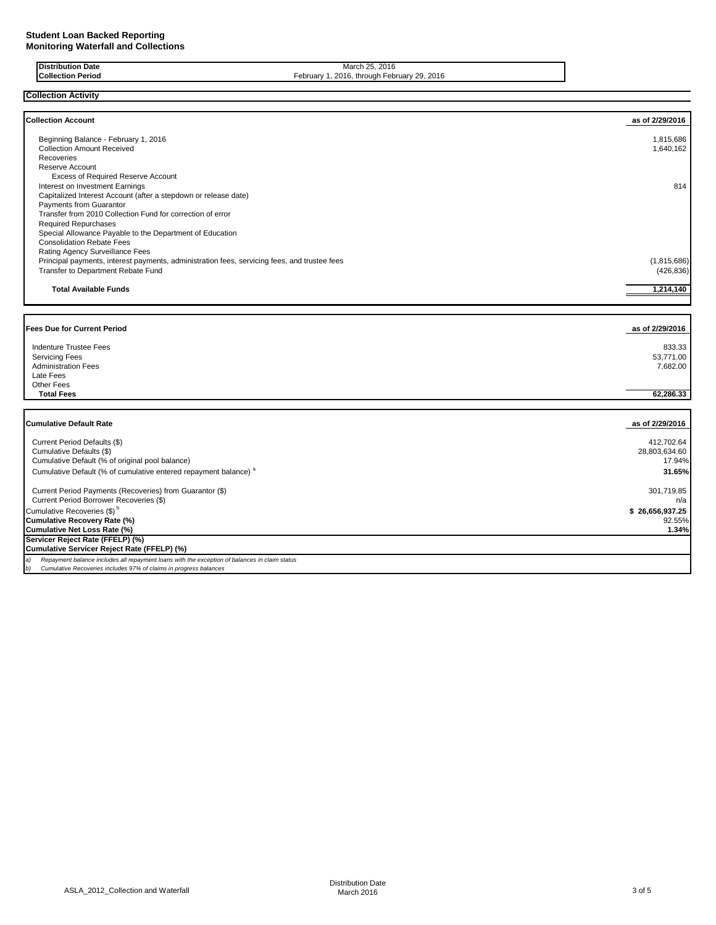Current Period Borrower Recoveries (\$)

**Cumulative Servicer Reject Rate (FFELP) (%)**

*b) Cumulative Recoveries includes 97% of claims in progress balances*

*a) Repayment balance includes all repayment loans with the exception of balances in claim status*

**Servicer Reject Rate (FFELP) (%)**

| <b>Distribution Date</b><br><b>Collection Period</b>                                                                                                                                                                 | March 25, 2016<br>February 1, 2016, through February 29, 2016 |                                       |
|----------------------------------------------------------------------------------------------------------------------------------------------------------------------------------------------------------------------|---------------------------------------------------------------|---------------------------------------|
| <b>Collection Activity</b>                                                                                                                                                                                           |                                                               |                                       |
| <b>Collection Account</b>                                                                                                                                                                                            |                                                               | as of 2/29/2016                       |
| Beginning Balance - February 1, 2016<br><b>Collection Amount Received</b><br>Recoveries                                                                                                                              |                                                               | 1,815,686<br>1,640,162                |
| <b>Reserve Account</b><br>Excess of Required Reserve Account<br>Interest on Investment Earnings<br>Capitalized Interest Account (after a stepdown or release date)                                                   |                                                               | 814                                   |
| Payments from Guarantor<br>Transfer from 2010 Collection Fund for correction of error<br><b>Required Repurchases</b><br>Special Allowance Payable to the Department of Education<br><b>Consolidation Rebate Fees</b> |                                                               |                                       |
| Rating Agency Surveillance Fees<br>Principal payments, interest payments, administration fees, servicing fees, and trustee fees<br>Transfer to Department Rebate Fund                                                |                                                               | (1,815,686)<br>(426, 836)             |
| <b>Total Available Funds</b>                                                                                                                                                                                         |                                                               | 1,214,140                             |
| <b>Fees Due for Current Period</b>                                                                                                                                                                                   |                                                               | as of 2/29/2016                       |
| <b>Indenture Trustee Fees</b><br><b>Servicing Fees</b><br><b>Administration Fees</b><br>Late Fees<br><b>Other Fees</b>                                                                                               |                                                               | 833.33<br>53.771.00<br>7,682.00       |
| <b>Total Fees</b>                                                                                                                                                                                                    |                                                               | 62.286.33                             |
| <b>Cumulative Default Rate</b>                                                                                                                                                                                       |                                                               | as of 2/29/2016                       |
| Current Period Defaults (\$)<br>Cumulative Defaults (\$)<br>Cumulative Default (% of original pool balance)                                                                                                          |                                                               | 412,702.64<br>28,803,634.60<br>17.94% |

 Cumulative Default (% of cumulative entered repayment balance) <sup>a</sup>**31.65%** Current Period Payments (Recoveries) from Guarantor (\$) 301,719.85<br>Current Period Borrower Recoveries (\$) 301,719.85

Cumulative Recoveries (\$)<sup>b</sup> **\$ 26,656,937.25 Cumulative Recovery Rate (%)** 92.55% **Cumulative Net Loss Rate (%) 1.34%**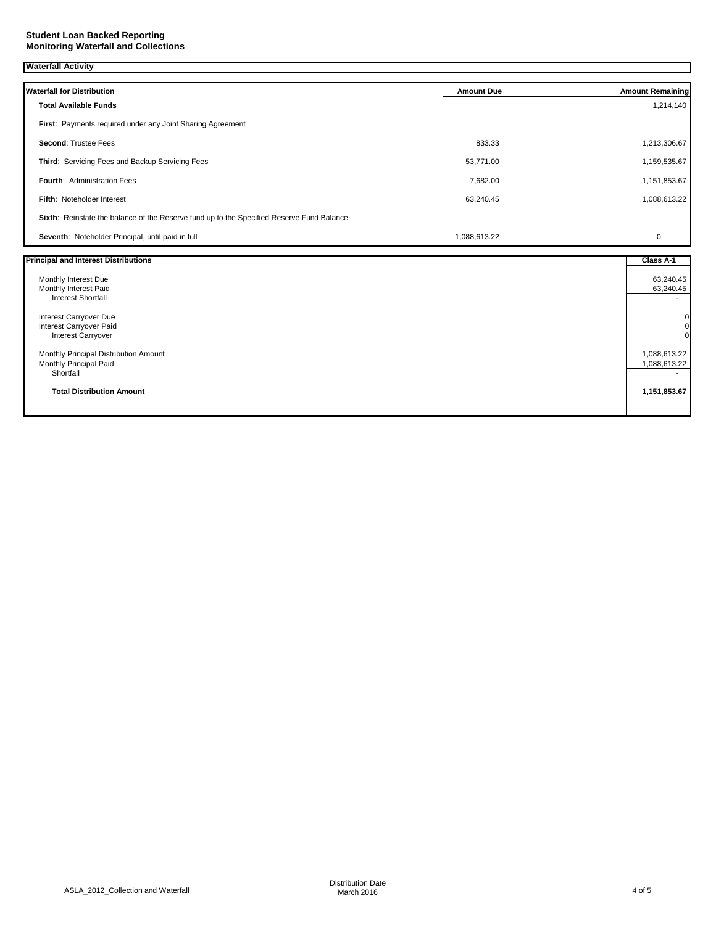## **Student Loan Backed Reporting Monitoring Waterfall and Collections**

| <b>Waterfall Activity</b>                                                                 |                   |                               |
|-------------------------------------------------------------------------------------------|-------------------|-------------------------------|
| <b>Waterfall for Distribution</b>                                                         | <b>Amount Due</b> | <b>Amount Remaining</b>       |
| <b>Total Available Funds</b>                                                              |                   | 1,214,140                     |
| First: Payments required under any Joint Sharing Agreement                                |                   |                               |
|                                                                                           |                   |                               |
| <b>Second: Trustee Fees</b>                                                               | 833.33            | 1,213,306.67                  |
| Third: Servicing Fees and Backup Servicing Fees                                           | 53,771.00         | 1,159,535.67                  |
| <b>Fourth: Administration Fees</b>                                                        | 7,682.00          | 1,151,853.67                  |
| Fifth: Noteholder Interest                                                                | 63,240.45         | 1,088,613.22                  |
| Sixth: Reinstate the balance of the Reserve fund up to the Specified Reserve Fund Balance |                   |                               |
| Seventh: Noteholder Principal, until paid in full                                         | 1,088,613.22      | 0                             |
| <b>Principal and Interest Distributions</b>                                               |                   | Class A-1                     |
| Monthly Interest Due                                                                      |                   | 63,240.45                     |
| Monthly Interest Paid                                                                     |                   | 63,240.45                     |
| <b>Interest Shortfall</b>                                                                 |                   |                               |
| Interest Carryover Due                                                                    |                   | $\mathbf 0$                   |
| Interest Carryover Paid<br>Interest Carryover                                             |                   | $\mathbf 0$<br>$\overline{0}$ |
|                                                                                           |                   |                               |
| Monthly Principal Distribution Amount                                                     |                   | 1,088,613.22                  |
| Monthly Principal Paid<br>Shortfall                                                       |                   | 1,088,613.22                  |
|                                                                                           |                   |                               |
| <b>Total Distribution Amount</b>                                                          |                   | 1,151,853.67                  |
|                                                                                           |                   |                               |